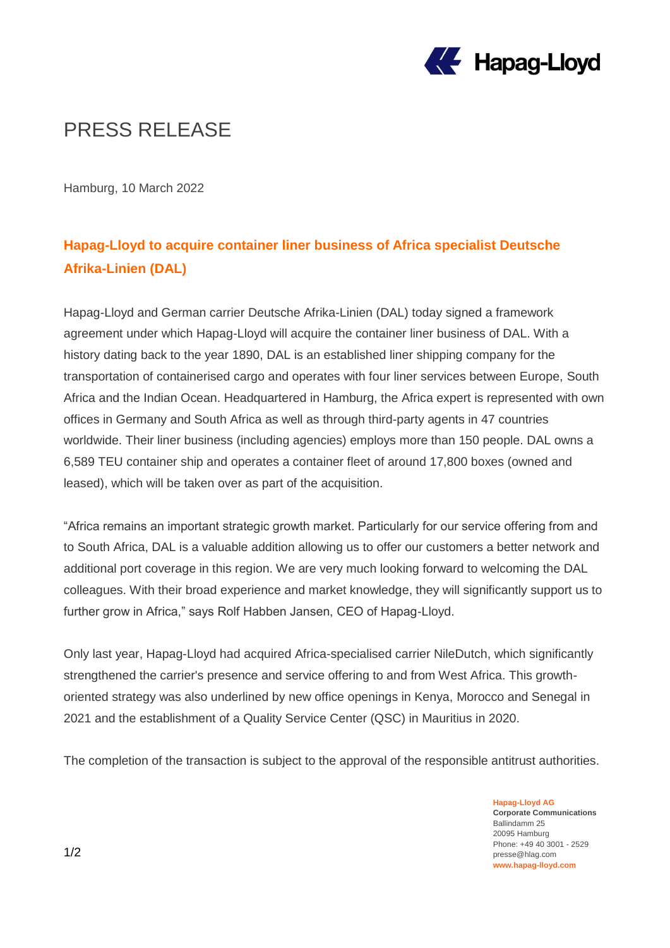

## PRESS RELEASE

Hamburg, 10 March 2022

### **Hapag-Lloyd to acquire container liner business of Africa specialist Deutsche Afrika-Linien (DAL)**

Hapag-Lloyd and German carrier Deutsche Afrika-Linien (DAL) today signed a framework agreement under which Hapag-Lloyd will acquire the container liner business of DAL. With a history dating back to the year 1890, DAL is an established liner shipping company for the transportation of containerised cargo and operates with four liner services between Europe, South Africa and the Indian Ocean. Headquartered in Hamburg, the Africa expert is represented with own offices in Germany and South Africa as well as through third-party agents in 47 countries worldwide. Their liner business (including agencies) employs more than 150 people. DAL owns a 6,589 TEU container ship and operates a container fleet of around 17,800 boxes (owned and leased), which will be taken over as part of the acquisition.

"Africa remains an important strategic growth market. Particularly for our service offering from and to South Africa, DAL is a valuable addition allowing us to offer our customers a better network and additional port coverage in this region. We are very much looking forward to welcoming the DAL colleagues. With their broad experience and market knowledge, they will significantly support us to further grow in Africa," says Rolf Habben Jansen, CEO of Hapag-Lloyd.

Only last year, Hapag-Lloyd had acquired Africa-specialised carrier NileDutch, which significantly strengthened the carrier's presence and service offering to and from West Africa. This growthoriented strategy was also underlined by new office openings in Kenya, Morocco and Senegal in 2021 and the establishment of a Quality Service Center (QSC) in Mauritius in 2020.

The completion of the transaction is subject to the approval of the responsible antitrust authorities.

**Hapag-Lloyd AG Corporate Communications** Ballindamm 25 20095 Hamburg Phone: +49 40 3001 - 2529 presse@hlag.com **www.hapag-lloyd.com**